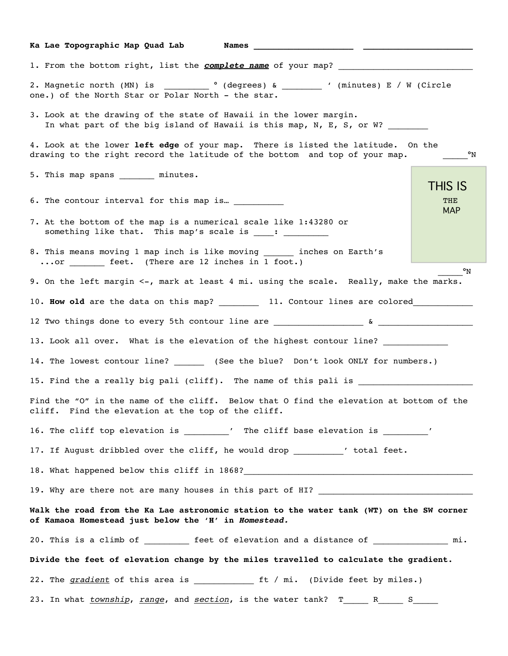| Ka Lae Topographic Map Quad Lab<br>Names and the state of the state of the state of the state of the state of the state of the state of the state of the state of the state of the state of the state of the state of the state of the state of the state of the |                   |
|------------------------------------------------------------------------------------------------------------------------------------------------------------------------------------------------------------------------------------------------------------------|-------------------|
| 1. From the bottom right, list the <i>complete name</i> of your map?                                                                                                                                                                                             |                   |
| 2. Magnetic north (MN) is __________ ° (degrees) & _________ ' (minutes) E / W (Circle<br>one.) of the North Star or Polar North - the star.                                                                                                                     |                   |
| 3. Look at the drawing of the state of Hawaii in the lower margin.<br>In what part of the big island of Hawaii is this map, N, E, S, or W?                                                                                                                       |                   |
| 4. Look at the lower left edge of your map. There is listed the latitude. On the<br>drawing to the right record the latitude of the bottom and top of your map.                                                                                                  | $^{\circ}$ N      |
| 5. This map spans _________ minutes.                                                                                                                                                                                                                             | <b>THIS IS</b>    |
| 6. The contour interval for this map is ___________                                                                                                                                                                                                              | THE<br><b>MAP</b> |
| 7. At the bottom of the map is a numerical scale like 1:43280 or<br>something like that. This map's scale is ____: _________                                                                                                                                     |                   |
| 8. This means moving 1 map inch is like moving inches on Earth's<br>or _________ feet. (There are 12 inches in 1 foot.)                                                                                                                                          |                   |
| 9. On the left margin <-, mark at least 4 mi. using the scale. Really, make the marks.                                                                                                                                                                           | °N                |
| 10. How old are the data on this map? __________ 11. Contour lines are colored__________                                                                                                                                                                         |                   |
| 12 Two things done to every 5th contour line are ________________________________                                                                                                                                                                                |                   |
| 13. Look all over. What is the elevation of the highest contour line? __________                                                                                                                                                                                 |                   |
| 14. The lowest contour line? ______ (See the blue? Don't look ONLY for numbers.)                                                                                                                                                                                 |                   |
| 15. Find the a really big pali (cliff). The name of this pali is _____                                                                                                                                                                                           |                   |
| Find the "O" in the name of the cliff. Below that O find the elevation at bottom of the<br>cliff. Find the elevation at the top of the cliff.                                                                                                                    |                   |
| 16. The cliff top elevation is _________' The cliff base elevation is ________'                                                                                                                                                                                  |                   |
| 17. If August dribbled over the cliff, he would drop __________ 'total feet.                                                                                                                                                                                     |                   |
|                                                                                                                                                                                                                                                                  |                   |
|                                                                                                                                                                                                                                                                  |                   |
| Walk the road from the Ka Lae astronomic station to the water tank (WT) on the SW corner<br>of Kamaoa Homestead just below the 'H' in Homestead.                                                                                                                 |                   |
| 20. This is a climb of __________ feet of elevation and a distance of _______________ mi.                                                                                                                                                                        |                   |
| Divide the feet of elevation change by the miles travelled to calculate the gradient.                                                                                                                                                                            |                   |
| 22. The gradient of this area is ______________ ft / mi. (Divide feet by miles.)                                                                                                                                                                                 |                   |
|                                                                                                                                                                                                                                                                  |                   |